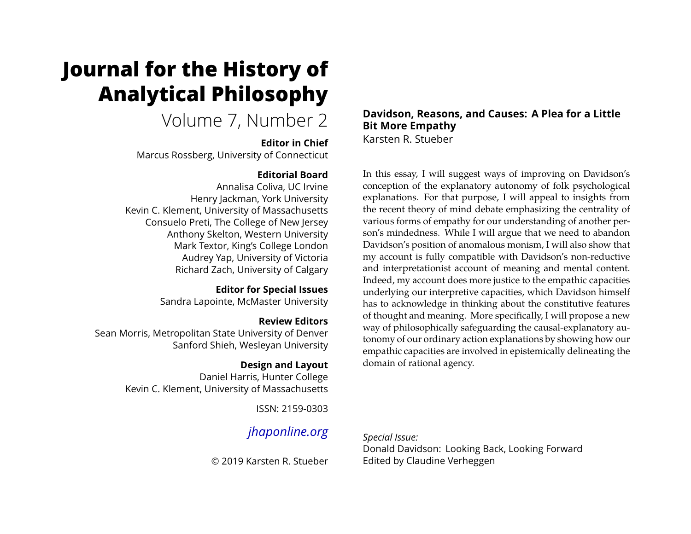# **Journal for the History of Analytical Philosophy**

Volume 7, Number 2

## **Editor in Chief**

Marcus Rossberg, University of Connecticut

## **Editorial Board**

Annalisa Coliva, UC Irvine Henry Jackman, York University Kevin C. Klement, University of Massachusetts Consuelo Preti, The College of New Jersey Anthony Skelton, Western University Mark Textor, King's College London Audrey Yap, University of Victoria Richard Zach, University of Calgary

> **Editor for Special Issues** Sandra Lapointe, McMaster University

## **Review Editors**

Sean Morris, Metropolitan State University of Denver Sanford Shieh, Wesleyan University

## **Design and Layout**

Daniel Harris, Hunter College Kevin C. Klement, University of Massachusetts

ISSN: 2159-0303

## *[jhaponline.org](https://jhaponline.org)*

© 2019 Karsten R. Stueber

#### **Davidson, Reasons, and Causes: A Plea for a Little Bit More Empathy** Karsten R. Stueber

In this essay, I will suggest ways of improving on Davidson's conception of the explanatory autonomy of folk psychological explanations. For that purpose, I will appeal to insights from the recent theory of mind debate emphasizing the centrality of various forms of empathy for our understanding of another person's mindedness. While I will argue that we need to abandon Davidson's position of anomalous monism, I will also show that my account is fully compatible with Davidson's non-reductive and interpretationist account of meaning and mental content. Indeed, my account does more justice to the empathic capacities underlying our interpretive capacities, which Davidson himself has to acknowledge in thinking about the constitutive features of thought and meaning. More specifically, I will propose a new way of philosophically safeguarding the causal-explanatory autonomy of our ordinary action explanations by showing how our empathic capacities are involved in epistemically delineating the domain of rational agency.

*Special Issue:* Donald Davidson: Looking Back, Looking Forward Edited by Claudine Verheggen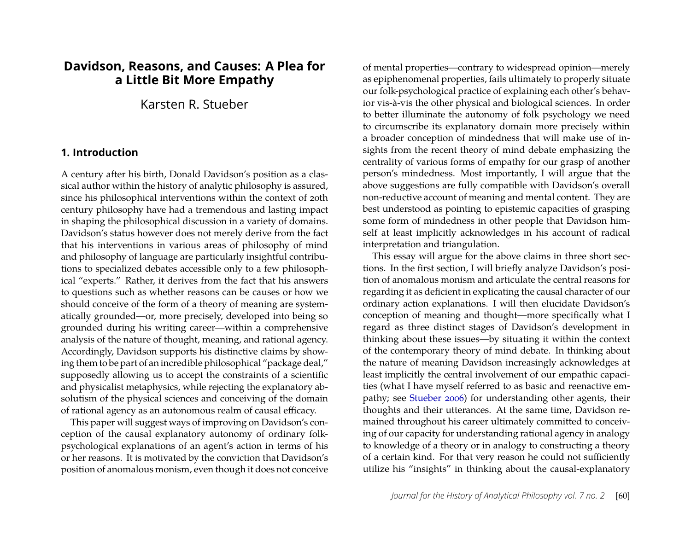## **Davidson, Reasons, and Causes: A Plea for a Little Bit More Empathy**

## Karsten R. Stueber

#### **1. Introduction**

A century after his birth, Donald Davidson's position as a classical author within the history of analytic philosophy is assured, since his philosophical interventions within the context of 20th century philosophy have had a tremendous and lasting impact in shaping the philosophical discussion in a variety of domains. Davidson's status however does not merely derive from the fact that his interventions in various areas of philosophy of mind and philosophy of language are particularly insightful contributions to specialized debates accessible only to a few philosophical "experts." Rather, it derives from the fact that his answers to questions such as whether reasons can be causes or how we should conceive of the form of a theory of meaning are systematically grounded—or, more precisely, developed into being so grounded during his writing career—within a comprehensive analysis of the nature of thought, meaning, and rational agency. Accordingly, Davidson supports his distinctive claims by showing them to be part of an incredible philosophical "package deal," supposedly allowing us to accept the constraints of a scientific and physicalist metaphysics, while rejecting the explanatory absolutism of the physical sciences and conceiving of the domain of rational agency as an autonomous realm of causal efficacy.

This paper will suggest ways of improving on Davidson's conception of the causal explanatory autonomy of ordinary folkpsychological explanations of an agent's action in terms of his or her reasons. It is motivated by the conviction that Davidson's position of anomalous monism, even though it does not conceive

of mental properties—contrary to widespread opinion—merely as epiphenomenal properties, fails ultimately to properly situate our folk-psychological practice of explaining each other's behavior vis-à-vis the other physical and biological sciences. In order to better illuminate the autonomy of folk psychology we need to circumscribe its explanatory domain more precisely within a broader conception of mindedness that will make use of insights from the recent theory of mind debate emphasizing the centrality of various forms of empathy for our grasp of another person's mindedness. Most importantly, I will argue that the above suggestions are fully compatible with Davidson's overall non-reductive account of meaning and mental content. They are best understood as pointing to epistemic capacities of grasping some form of mindedness in other people that Davidson himself at least implicitly acknowledges in his account of radical interpretation and triangulation.

This essay will argue for the above claims in three short sections. In the first section, I will briefly analyze Davidson's position of anomalous monism and articulate the central reasons for regarding it as deficient in explicating the causal character of our ordinary action explanations. I will then elucidate Davidson's conception of meaning and thought—more specifically what I regard as three distinct stages of Davidson's development in thinking about these issues—by situating it within the context of the contemporary theory of mind debate. In thinking about the nature of meaning Davidson increasingly acknowledges at least implicitly the central involvement of our empathic capacities (what I have myself referred to as basic and reenactive empathy; see [Stueber 2006\)](#page-16-0) for understanding other agents, their thoughts and their utterances. At the same time, Davidson remained throughout his career ultimately committed to conceiving of our capacity for understanding rational agency in analogy to knowledge of a theory or in analogy to constructing a theory of a certain kind. For that very reason he could not sufficiently utilize his "insights" in thinking about the causal-explanatory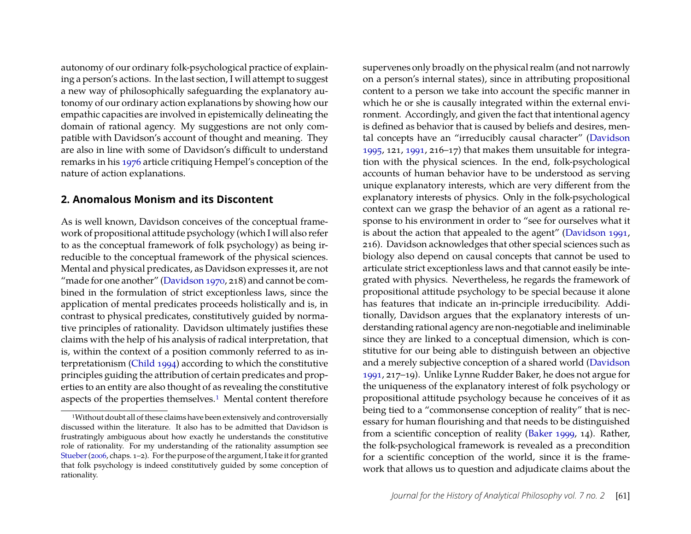autonomy of our ordinary folk-psychological practice of explaining a person's actions. In the last section, I will attempt to suggest a new way of philosophically safeguarding the explanatory autonomy of our ordinary action explanations by showing how our empathic capacities are involved in epistemically delineating the domain of rational agency. My suggestions are not only compatible with Davidson's account of thought and meaning. They are also in line with some of Davidson's difficult to understand remarks in his [1976](#page-15-0) article critiquing Hempel's conception of the nature of action explanations.

## **2. Anomalous Monism and its Discontent**

As is well known, Davidson conceives of the conceptual framework of propositional attitude psychology (which I will also refer to as the conceptual framework of folk psychology) as being irreducible to the conceptual framework of the physical sciences. Mental and physical predicates, as Davidson expresses it, are not "made for one another" [\(Davidson 1970,](#page-14-0) 218) and cannot be combined in the formulation of strict exceptionless laws, since the application of mental predicates proceeds holistically and is, in contrast to physical predicates, constitutively guided by normative principles of rationality. Davidson ultimately justifies these claims with the help of his analysis of radical interpretation, that is, within the context of a position commonly referred to as interpretationism [\(Child 1994\)](#page-14-1) according to which the constitutive principles guiding the attribution of certain predicates and properties to an entity are also thought of as revealing the constitutive aspects of the properties themselves.<sup>[1](#page-2-0)</sup> Mental content therefore

supervenes only broadly on the physical realm (and not narrowly on a person's internal states), since in attributing propositional content to a person we take into account the specific manner in which he or she is causally integrated within the external environment. Accordingly, and given the fact that intentional agency is defined as behavior that is caused by beliefs and desires, mental concepts have an "irreducibly causal character" [\(Davidson](#page-15-1) [1995,](#page-15-1) 121, [1991,](#page-15-2) 216–17) that makes them unsuitable for integration with the physical sciences. In the end, folk-psychological accounts of human behavior have to be understood as serving unique explanatory interests, which are very different from the explanatory interests of physics. Only in the folk-psychological context can we grasp the behavior of an agent as a rational response to his environment in order to "see for ourselves what it is about the action that appealed to the agent" [\(Davidson 1991,](#page-15-2) 216). Davidson acknowledges that other special sciences such as biology also depend on causal concepts that cannot be used to articulate strict exceptionless laws and that cannot easily be integrated with physics. Nevertheless, he regards the framework of propositional attitude psychology to be special because it alone has features that indicate an in-principle irreducibility. Additionally, Davidson argues that the explanatory interests of understanding rational agency are non-negotiable and ineliminable since they are linked to a conceptual dimension, which is constitutive for our being able to distinguish between an objective and a merely subjective conception of a shared world [\(Davidson](#page-15-2) [1991,](#page-15-2) 217–19). Unlike Lynne Rudder Baker, he does not argue for the uniqueness of the explanatory interest of folk psychology or propositional attitude psychology because he conceives of it as being tied to a "commonsense conception of reality" that is necessary for human flourishing and that needs to be distinguished from a scientific conception of reality [\(Baker 1999,](#page-14-2) 14). Rather, the folk-psychological framework is revealed as a precondition for a scientific conception of the world, since it is the framework that allows us to question and adjudicate claims about the

<span id="page-2-0"></span><sup>1</sup>Without doubt all of these claims have been extensively and controversially discussed within the literature. It also has to be admitted that Davidson is frustratingly ambiguous about how exactly he understands the constitutive role of rationality. For my understanding of the rationality assumption see [Stueber\(2006,](#page-16-0) chaps. 1–2). For the purpose of the argument, I take it for granted that folk psychology is indeed constitutively guided by some conception of rationality.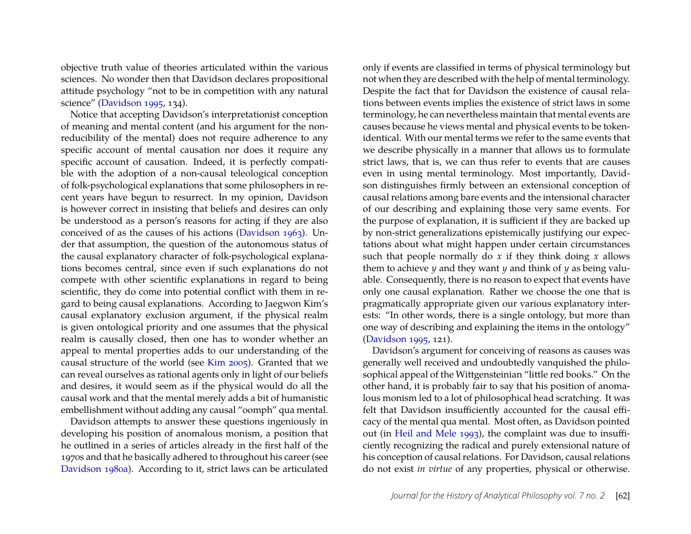objective truth value of theories articulated within the various sciences. No wonder then that Davidson declares propositional attitude psychology "not to be in competition with any natural science" [\(Davidson 1995,](#page-15-1) 134).

Notice that accepting Davidson's interpretationist conception of meaning and mental content (and his argument for the nonreducibility of the mental) does not require adherence to any specific account of mental causation nor does it require any specific account of causation. Indeed, it is perfectly compatible with the adoption of a non-causal teleological conception of folk-psychological explanations that some philosophers in recent years have begun to resurrect. In my opinion, Davidson is however correct in insisting that beliefs and desires can only be understood as a person's reasons for acting if they are also conceived of as the causes of his actions [\(Davidson 1963\)](#page-14-3). Under that assumption, the question of the autonomous status of the causal explanatory character of folk-psychological explanations becomes central, since even if such explanations do not compete with other scientific explanations in regard to being scientific, they do come into potential conflict with them in regard to being causal explanations. According to Jaegwon Kim's causal explanatory exclusion argument, if the physical realm is given ontological priority and one assumes that the physical realm is causally closed, then one has to wonder whether an appeal to mental properties adds to our understanding of the causal structure of the world (see [Kim 2005\)](#page-16-1). Granted that we can reveal ourselves as rational agents only in light of our beliefs and desires, it would seem as if the physical would do all the causal work and that the mental merely adds a bit of humanistic embellishment without adding any causal "oomph" qua mental.

Davidson attempts to answer these questions ingeniously in developing his position of anomalous monism, a position that he outlined in a series of articles already in the first half of the 1970s and that he basically adhered to throughout his career (see [Davidson 1980a\)](#page-15-3). According to it, strict laws can be articulated

only if events are classified in terms of physical terminology but not when they are described with the help of mental terminology. Despite the fact that for Davidson the existence of causal relations between events implies the existence of strict laws in some terminology, he can nevertheless maintain that mental events are causes because he views mental and physical events to be tokenidentical. With our mental terms we refer to the same events that we describe physically in a manner that allows us to formulate strict laws, that is, we can thus refer to events that are causes even in using mental terminology. Most importantly, Davidson distinguishes firmly between an extensional conception of causal relations among bare events and the intensional character of our describing and explaining those very same events. For the purpose of explanation, it is sufficient if they are backed up by non-strict generalizations epistemically justifying our expectations about what might happen under certain circumstances such that people normally do *x* if they think doing *x* allows them to achieve  $\psi$  and they want  $\psi$  and think of  $\psi$  as being valuable. Consequently, there is no reason to expect that events have only one causal explanation. Rather we choose the one that is pragmatically appropriate given our various explanatory interests: "In other words, there is a single ontology, but more than one way of describing and explaining the items in the ontology" [\(Davidson 1995,](#page-15-1) 121).

Davidson's argument for conceiving of reasons as causes was generally well received and undoubtedly vanquished the philosophical appeal of the Wittgensteinian "little red books." On the other hand, it is probably fair to say that his position of anomalous monism led to a lot of philosophical head scratching. It was felt that Davidson insufficiently accounted for the causal efficacy of the mental qua mental. Most often, as Davidson pointed out (in [Heil and Mele 1993\)](#page-15-4), the complaint was due to insufficiently recognizing the radical and purely extensional nature of his conception of causal relations. For Davidson, causal relations do not exist *in virtue* of any properties, physical or otherwise.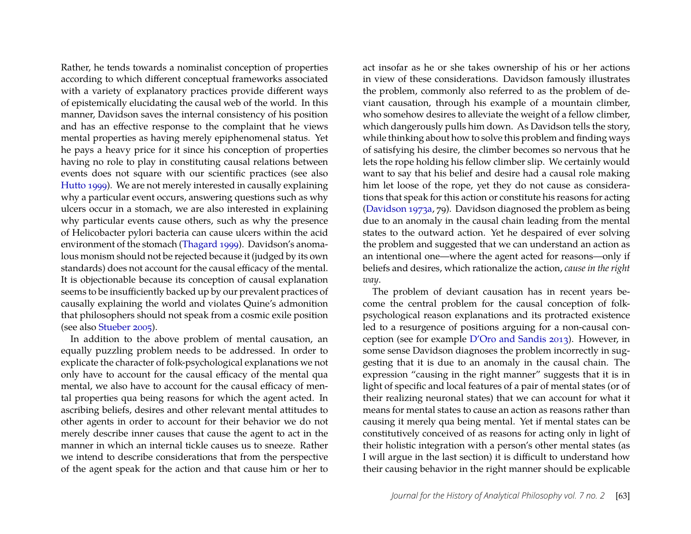Rather, he tends towards a nominalist conception of properties according to which different conceptual frameworks associated with a variety of explanatory practices provide different ways of epistemically elucidating the causal web of the world. In this manner, Davidson saves the internal consistency of his position and has an effective response to the complaint that he views mental properties as having merely epiphenomenal status. Yet he pays a heavy price for it since his conception of properties having no role to play in constituting causal relations between events does not square with our scientific practices (see also [Hutto 1999\)](#page-15-5). We are not merely interested in causally explaining why a particular event occurs, answering questions such as why ulcers occur in a stomach, we are also interested in explaining why particular events cause others, such as why the presence of Helicobacter pylori bacteria can cause ulcers within the acid environment of the stomach [\(Thagard 1999\)](#page-16-2). Davidson's anomalous monism should not be rejected because it (judged by its own standards) does not account for the causal efficacy of the mental. It is objectionable because its conception of causal explanation seems to be insufficiently backed up by our prevalent practices of causally explaining the world and violates Quine's admonition that philosophers should not speak from a cosmic exile position (see also [Stueber 2005\)](#page-16-3).

In addition to the above problem of mental causation, an equally puzzling problem needs to be addressed. In order to explicate the character of folk-psychological explanations we not only have to account for the causal efficacy of the mental qua mental, we also have to account for the causal efficacy of mental properties qua being reasons for which the agent acted. In ascribing beliefs, desires and other relevant mental attitudes to other agents in order to account for their behavior we do not merely describe inner causes that cause the agent to act in the manner in which an internal tickle causes us to sneeze. Rather we intend to describe considerations that from the perspective of the agent speak for the action and that cause him or her to

act insofar as he or she takes ownership of his or her actions in view of these considerations. Davidson famously illustrates the problem, commonly also referred to as the problem of deviant causation, through his example of a mountain climber, who somehow desires to alleviate the weight of a fellow climber, which dangerously pulls him down. As Davidson tells the story, while thinking about how to solve this problem and finding ways of satisfying his desire, the climber becomes so nervous that he lets the rope holding his fellow climber slip. We certainly would want to say that his belief and desire had a causal role making him let loose of the rope, yet they do not cause as considerations that speak for this action or constitute his reasons for acting [\(Davidson 1973a,](#page-14-4) 79). Davidson diagnosed the problem as being due to an anomaly in the causal chain leading from the mental states to the outward action. Yet he despaired of ever solving the problem and suggested that we can understand an action as an intentional one—where the agent acted for reasons—only if beliefs and desires, which rationalize the action, *cause in the right way*.

The problem of deviant causation has in recent years become the central problem for the causal conception of folkpsychological reason explanations and its protracted existence led to a resurgence of positions arguing for a non-causal conception (see for example [D'Oro and Sandis 2013\)](#page-15-6). However, in some sense Davidson diagnoses the problem incorrectly in suggesting that it is due to an anomaly in the causal chain. The expression "causing in the right manner" suggests that it is in light of specific and local features of a pair of mental states (or of their realizing neuronal states) that we can account for what it means for mental states to cause an action as reasons rather than causing it merely qua being mental. Yet if mental states can be constitutively conceived of as reasons for acting only in light of their holistic integration with a person's other mental states (as I will argue in the last section) it is difficult to understand how their causing behavior in the right manner should be explicable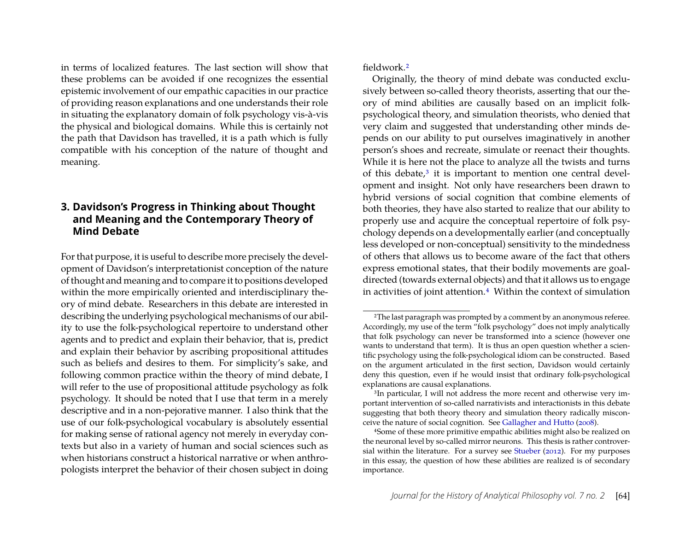in terms of localized features. The last section will show that these problems can be avoided if one recognizes the essential epistemic involvement of our empathic capacities in our practice of providing reason explanations and one understands their role in situating the explanatory domain of folk psychology vis-à-vis the physical and biological domains. While this is certainly not the path that Davidson has travelled, it is a path which is fully compatible with his conception of the nature of thought and meaning.

#### **3. Davidson's Progress in Thinking about Thought and Meaning and the Contemporary Theory of Mind Debate**

For that purpose, it is useful to describe more precisely the development of Davidson's interpretationist conception of the nature of thought and meaning and to compare it to positions developed within the more empirically oriented and interdisciplinary theory of mind debate. Researchers in this debate are interested in describing the underlying psychological mechanisms of our ability to use the folk-psychological repertoire to understand other agents and to predict and explain their behavior, that is, predict and explain their behavior by ascribing propositional attitudes such as beliefs and desires to them. For simplicity's sake, and following common practice within the theory of mind debate, I will refer to the use of propositional attitude psychology as folk psychology. It should be noted that I use that term in a merely descriptive and in a non-pejorative manner. I also think that the use of our folk-psychological vocabulary is absolutely essential for making sense of rational agency not merely in everyday contexts but also in a variety of human and social sciences such as when historians construct a historical narrative or when anthropologists interpret the behavior of their chosen subject in doing fieldwork.[2](#page-5-0)

Originally, the theory of mind debate was conducted exclusively between so-called theory theorists, asserting that our theory of mind abilities are causally based on an implicit folkpsychological theory, and simulation theorists, who denied that very claim and suggested that understanding other minds depends on our ability to put ourselves imaginatively in another person's shoes and recreate, simulate or reenact their thoughts. While it is here not the place to analyze all the twists and turns of this debate, $3$  it is important to mention one central development and insight. Not only have researchers been drawn to hybrid versions of social cognition that combine elements of both theories, they have also started to realize that our ability to properly use and acquire the conceptual repertoire of folk psychology depends on a developmentally earlier (and conceptually less developed or non-conceptual) sensitivity to the mindedness of others that allows us to become aware of the fact that others express emotional states, that their bodily movements are goaldirected (towards external objects) and that it allows us to engage in activities of joint attention.[4](#page-5-2) Within the context of simulation

<span id="page-5-0"></span><sup>2</sup>The last paragraph was prompted by a comment by an anonymous referee. Accordingly, my use of the term "folk psychology" does not imply analytically that folk psychology can never be transformed into a science (however one wants to understand that term). It is thus an open question whether a scientific psychology using the folk-psychological idiom can be constructed. Based on the argument articulated in the first section, Davidson would certainly deny this question, even if he would insist that ordinary folk-psychological explanations are causal explanations.

<span id="page-5-1"></span><sup>3</sup>In particular, I will not address the more recent and otherwise very important intervention of so-called narrativists and interactionists in this debate suggesting that both theory theory and simulation theory radically misconceive the nature of social cognition. See [Gallagher and Hutto](#page-15-7) [\(2008\)](#page-15-7).

<span id="page-5-2"></span><sup>4</sup>Some of these more primitive empathic abilities might also be realized on the neuronal level by so-called mirror neurons. This thesis is rather controversial within the literature. For a survey see [Stueber](#page-16-4) [\(2012\)](#page-16-4). For my purposes in this essay, the question of how these abilities are realized is of secondary importance.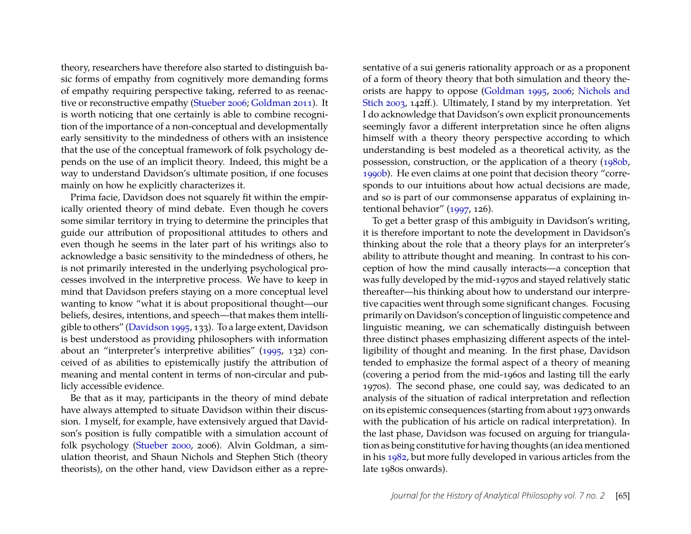theory, researchers have therefore also started to distinguish basic forms of empathy from cognitively more demanding forms of empathy requiring perspective taking, referred to as reenactive or reconstructive empathy [\(Stueber 2006;](#page-16-0) [Goldman 2011\)](#page-15-8). It is worth noticing that one certainly is able to combine recognition of the importance of a non-conceptual and developmentally early sensitivity to the mindedness of others with an insistence that the use of the conceptual framework of folk psychology depends on the use of an implicit theory. Indeed, this might be a way to understand Davidson's ultimate position, if one focuses mainly on how he explicitly characterizes it.

Prima facie, Davidson does not squarely fit within the empirically oriented theory of mind debate. Even though he covers some similar territory in trying to determine the principles that guide our attribution of propositional attitudes to others and even though he seems in the later part of his writings also to acknowledge a basic sensitivity to the mindedness of others, he is not primarily interested in the underlying psychological processes involved in the interpretive process. We have to keep in mind that Davidson prefers staying on a more conceptual level wanting to know "what it is about propositional thought—our beliefs, desires, intentions, and speech—that makes them intelligible to others" [\(Davidson 1995,](#page-15-1) 133). To a large extent, Davidson is best understood as providing philosophers with information about an "interpreter's interpretive abilities" [\(1995,](#page-15-1) 132) conceived of as abilities to epistemically justify the attribution of meaning and mental content in terms of non-circular and publicly accessible evidence.

Be that as it may, participants in the theory of mind debate have always attempted to situate Davidson within their discussion. I myself, for example, have extensively argued that Davidson's position is fully compatible with a simulation account of folk psychology [\(Stueber 2000,](#page-16-5) 2006). Alvin Goldman, a simulation theorist, and Shaun Nichols and Stephen Stich (theory theorists), on the other hand, view Davidson either as a repre-

sentative of a sui generis rationality approach or as a proponent of a form of theory theory that both simulation and theory theorists are happy to oppose [\(Goldman 1995,](#page-15-9) [2006;](#page-15-10) [Nichols and](#page-16-6) [Stich 2003,](#page-16-6) 142ff.). Ultimately, I stand by my interpretation. Yet I do acknowledge that Davidson's own explicit pronouncements seemingly favor a different interpretation since he often aligns himself with a theory theory perspective according to which understanding is best modeled as a theoretical activity, as the possession, construction, or the application of a theory [\(1980b,](#page-15-11) [1990b\)](#page-15-12). He even claims at one point that decision theory "corresponds to our intuitions about how actual decisions are made, and so is part of our commonsense apparatus of explaining intentional behavior" [\(1997,](#page-15-13) 126).

To get a better grasp of this ambiguity in Davidson's writing, it is therefore important to note the development in Davidson's thinking about the role that a theory plays for an interpreter's ability to attribute thought and meaning. In contrast to his conception of how the mind causally interacts—a conception that was fully developed by the mid-1970s and stayed relatively static thereafter—his thinking about how to understand our interpretive capacities went through some significant changes. Focusing primarily on Davidson's conception of linguistic competence and linguistic meaning, we can schematically distinguish between three distinct phases emphasizing different aspects of the intelligibility of thought and meaning. In the first phase, Davidson tended to emphasize the formal aspect of a theory of meaning (covering a period from the mid-1960s and lasting till the early 1970s). The second phase, one could say, was dedicated to an analysis of the situation of radical interpretation and reflection on its epistemic consequences (starting from about 1973 onwards with the publication of his article on radical interpretation). In the last phase, Davidson was focused on arguing for triangulation as being constitutive for having thoughts (an idea mentioned in his [1982,](#page-15-14) but more fully developed in various articles from the late 1980s onwards).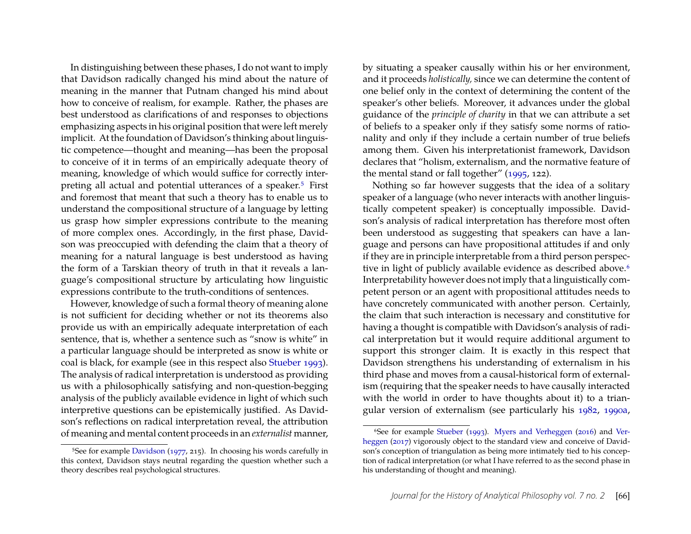In distinguishing between these phases, I do not want to imply that Davidson radically changed his mind about the nature of meaning in the manner that Putnam changed his mind about how to conceive of realism, for example. Rather, the phases are best understood as clarifications of and responses to objections emphasizing aspects in his original position that were left merely implicit. At the foundation of Davidson's thinking about linguistic competence—thought and meaning—has been the proposal to conceive of it in terms of an empirically adequate theory of meaning, knowledge of which would suffice for correctly interpreting all actual and potential utterances of a speaker.[5](#page-7-0) First and foremost that meant that such a theory has to enable us to understand the compositional structure of a language by letting us grasp how simpler expressions contribute to the meaning of more complex ones. Accordingly, in the first phase, Davidson was preoccupied with defending the claim that a theory of meaning for a natural language is best understood as having the form of a Tarskian theory of truth in that it reveals a language's compositional structure by articulating how linguistic expressions contribute to the truth-conditions of sentences.

However, knowledge of such a formal theory of meaning alone is not sufficient for deciding whether or not its theorems also provide us with an empirically adequate interpretation of each sentence, that is, whether a sentence such as "snow is white" in a particular language should be interpreted as snow is white or coal is black, for example (see in this respect also [Stueber 1993\)](#page-16-7). The analysis of radical interpretation is understood as providing us with a philosophically satisfying and non-question-begging analysis of the publicly available evidence in light of which such interpretive questions can be epistemically justified. As Davidson's reflections on radical interpretation reveal, the attribution of meaning and mental content proceeds in an *externalist* manner, by situating a speaker causally within his or her environment, and it proceeds *holistically,* since we can determine the content of one belief only in the context of determining the content of the speaker's other beliefs. Moreover, it advances under the global guidance of the *principle of charity* in that we can attribute a set of beliefs to a speaker only if they satisfy some norms of rationality and only if they include a certain number of true beliefs among them. Given his interpretationist framework, Davidson declares that "holism, externalism, and the normative feature of the mental stand or fall together" [\(1995,](#page-15-1) 122).

Nothing so far however suggests that the idea of a solitary speaker of a language (who never interacts with another linguistically competent speaker) is conceptually impossible. Davidson's analysis of radical interpretation has therefore most often been understood as suggesting that speakers can have a language and persons can have propositional attitudes if and only if they are in principle interpretable from a third person perspec-tive in light of publicly available evidence as described above.<sup>[6](#page-7-1)</sup> Interpretability however does not imply that a linguistically competent person or an agent with propositional attitudes needs to have concretely communicated with another person. Certainly, the claim that such interaction is necessary and constitutive for having a thought is compatible with Davidson's analysis of radical interpretation but it would require additional argument to support this stronger claim. It is exactly in this respect that Davidson strengthens his understanding of externalism in his third phase and moves from a causal-historical form of externalism (requiring that the speaker needs to have causally interacted with the world in order to have thoughts about it) to a triangular version of externalism (see particularly his [1982,](#page-15-14) [1990a,](#page-15-16)

<span id="page-7-0"></span><sup>&</sup>lt;sup>5</sup>See for example [Davidson](#page-15-15) [\(1977,](#page-15-15) 215). In choosing his words carefully in this context, Davidson stays neutral regarding the question whether such a theory describes real psychological structures.

<span id="page-7-1"></span><sup>6</sup>See for example [Stueber](#page-16-7) [\(1993\)](#page-16-7). [Myers and Verheggen](#page-16-8) [\(2016\)](#page-16-8) and [Ver](#page-16-9)[heggen](#page-16-9) [\(2017\)](#page-16-9) vigorously object to the standard view and conceive of Davidson's conception of triangulation as being more intimately tied to his conception of radical interpretation (or what I have referred to as the second phase in his understanding of thought and meaning).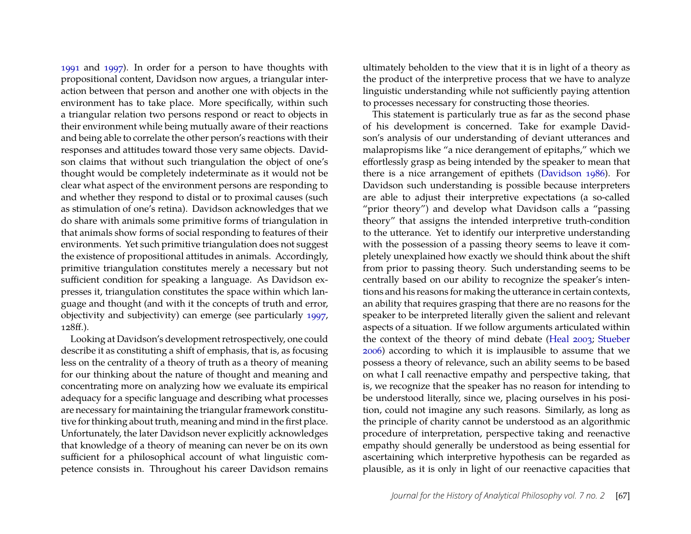[1991](#page-15-2) and [1997\)](#page-15-13). In order for a person to have thoughts with propositional content, Davidson now argues, a triangular interaction between that person and another one with objects in the environment has to take place. More specifically, within such a triangular relation two persons respond or react to objects in their environment while being mutually aware of their reactions and being able to correlate the other person's reactions with their responses and attitudes toward those very same objects. Davidson claims that without such triangulation the object of one's thought would be completely indeterminate as it would not be clear what aspect of the environment persons are responding to and whether they respond to distal or to proximal causes (such as stimulation of one's retina). Davidson acknowledges that we do share with animals some primitive forms of triangulation in that animals show forms of social responding to features of their environments. Yet such primitive triangulation does not suggest the existence of propositional attitudes in animals. Accordingly, primitive triangulation constitutes merely a necessary but not sufficient condition for speaking a language. As Davidson expresses it, triangulation constitutes the space within which language and thought (and with it the concepts of truth and error, objectivity and subjectivity) can emerge (see particularly [1997,](#page-15-13) 128ff.).

Looking at Davidson's development retrospectively, one could describe it as constituting a shift of emphasis, that is, as focusing less on the centrality of a theory of truth as a theory of meaning for our thinking about the nature of thought and meaning and concentrating more on analyzing how we evaluate its empirical adequacy for a specific language and describing what processes are necessary for maintaining the triangular framework constitutive for thinking about truth, meaning and mind in the first place. Unfortunately, the later Davidson never explicitly acknowledges that knowledge of a theory of meaning can never be on its own sufficient for a philosophical account of what linguistic competence consists in. Throughout his career Davidson remains ultimately beholden to the view that it is in light of a theory as the product of the interpretive process that we have to analyze linguistic understanding while not sufficiently paying attention to processes necessary for constructing those theories.

This statement is particularly true as far as the second phase of his development is concerned. Take for example Davidson's analysis of our understanding of deviant utterances and malapropisms like "a nice derangement of epitaphs," which we effortlessly grasp as being intended by the speaker to mean that there is a nice arrangement of epithets [\(Davidson 1986\)](#page-15-17). For Davidson such understanding is possible because interpreters are able to adjust their interpretive expectations (a so-called "prior theory") and develop what Davidson calls a "passing theory" that assigns the intended interpretive truth-condition to the utterance. Yet to identify our interpretive understanding with the possession of a passing theory seems to leave it completely unexplained how exactly we should think about the shift from prior to passing theory. Such understanding seems to be centrally based on our ability to recognize the speaker's intentions and his reasons for making the utterance in certain contexts, an ability that requires grasping that there are no reasons for the speaker to be interpreted literally given the salient and relevant aspects of a situation. If we follow arguments articulated within the context of the theory of mind debate [\(Heal 2003;](#page-15-18) [Stueber](#page-16-0) [2006\)](#page-16-0) according to which it is implausible to assume that we possess a theory of relevance, such an ability seems to be based on what I call reenactive empathy and perspective taking, that is, we recognize that the speaker has no reason for intending to be understood literally, since we, placing ourselves in his position, could not imagine any such reasons. Similarly, as long as the principle of charity cannot be understood as an algorithmic procedure of interpretation, perspective taking and reenactive empathy should generally be understood as being essential for ascertaining which interpretive hypothesis can be regarded as plausible, as it is only in light of our reenactive capacities that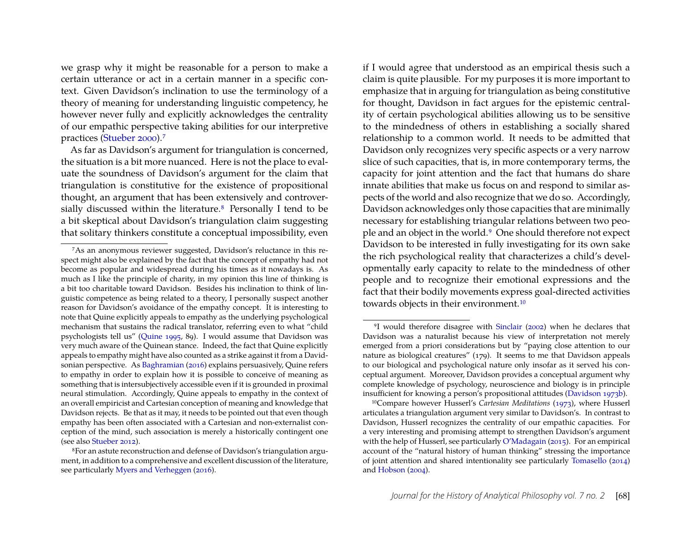we grasp why it might be reasonable for a person to make a certain utterance or act in a certain manner in a specific context. Given Davidson's inclination to use the terminology of a theory of meaning for understanding linguistic competency, he however never fully and explicitly acknowledges the centrality of our empathic perspective taking abilities for our interpretive practices [\(Stueber 2000\)](#page-16-5).[7](#page-9-0)

As far as Davidson's argument for triangulation is concerned, the situation is a bit more nuanced. Here is not the place to evaluate the soundness of Davidson's argument for the claim that triangulation is constitutive for the existence of propositional thought, an argument that has been extensively and controver-sially discussed within the literature.<sup>[8](#page-9-1)</sup> Personally I tend to be a bit skeptical about Davidson's triangulation claim suggesting that solitary thinkers constitute a conceptual impossibility, even

if I would agree that understood as an empirical thesis such a claim is quite plausible. For my purposes it is more important to emphasize that in arguing for triangulation as being constitutive for thought, Davidson in fact argues for the epistemic centrality of certain psychological abilities allowing us to be sensitive to the mindedness of others in establishing a socially shared relationship to a common world. It needs to be admitted that Davidson only recognizes very specific aspects or a very narrow slice of such capacities, that is, in more contemporary terms, the capacity for joint attention and the fact that humans do share innate abilities that make us focus on and respond to similar aspects of the world and also recognize that we do so. Accordingly, Davidson acknowledges only those capacities that are minimally necessary for establishing triangular relations between two people and an object in the world.[9](#page-9-2) One should therefore not expect Davidson to be interested in fully investigating for its own sake the rich psychological reality that characterizes a child's developmentally early capacity to relate to the mindedness of other people and to recognize their emotional expressions and the fact that their bodily movements express goal-directed activities towards objects in their environment.[10](#page-9-3)

<span id="page-9-0"></span><sup>7</sup>As an anonymous reviewer suggested, Davidson's reluctance in this respect might also be explained by the fact that the concept of empathy had not become as popular and widespread during his times as it nowadays is. As much as I like the principle of charity, in my opinion this line of thinking is a bit too charitable toward Davidson. Besides his inclination to think of linguistic competence as being related to a theory, I personally suspect another reason for Davidson's avoidance of the empathy concept. It is interesting to note that Quine explicitly appeals to empathy as the underlying psychological mechanism that sustains the radical translator, referring even to what "child psychologists tell us" [\(Quine 1995,](#page-16-10) 89). I would assume that Davidson was very much aware of the Quinean stance. Indeed, the fact that Quine explicitly appeals to empathy might have also counted as a strike against it from a Davidsonian perspective. As [Baghramian](#page-14-5) [\(2016\)](#page-14-5) explains persuasively, Quine refers to empathy in order to explain how it is possible to conceive of meaning as something that is intersubjectively accessible even if it is grounded in proximal neural stimulation. Accordingly, Quine appeals to empathy in the context of an overall empiricist and Cartesian conception of meaning and knowledge that Davidson rejects. Be that as it may, it needs to be pointed out that even though empathy has been often associated with a Cartesian and non-externalist conception of the mind, such association is merely a historically contingent one (see also [Stueber 2012\)](#page-16-4).

<span id="page-9-1"></span><sup>8</sup>For an astute reconstruction and defense of Davidson's triangulation argument, in addition to a comprehensive and excellent discussion of the literature, see particularly [Myers and Verheggen](#page-16-8) [\(2016\)](#page-16-8).

<span id="page-9-2"></span><sup>9</sup>I would therefore disagree with [Sinclair](#page-16-11) [\(2002\)](#page-16-11) when he declares that Davidson was a naturalist because his view of interpretation not merely emerged from a priori considerations but by "paying close attention to our nature as biological creatures" (179). It seems to me that Davidson appeals to our biological and psychological nature only insofar as it served his conceptual argument. Moreover, Davidson provides a conceptual argument why complete knowledge of psychology, neuroscience and biology is in principle insufficient for knowing a person's propositional attitudes [\(Davidson 1973b\)](#page-14-6).

<span id="page-9-3"></span><sup>10</sup>Compare however Husserl's *Cartesian Meditations* [\(1973\)](#page-15-19), where Husserl articulates a triangulation argument very similar to Davidson's. In contrast to Davidson, Husserl recognizes the centrality of our empathic capacities. For a very interesting and promising attempt to strengthen Davidson's argument with the help of Husserl, see particularly [O'Madagain](#page-16-12) [\(2015\)](#page-16-12). For an empirical account of the "natural history of human thinking" stressing the importance of joint attention and shared intentionality see particularly [Tomasello](#page-16-13) [\(2014\)](#page-16-13) and [Hobson](#page-15-20) [\(2004\)](#page-15-20).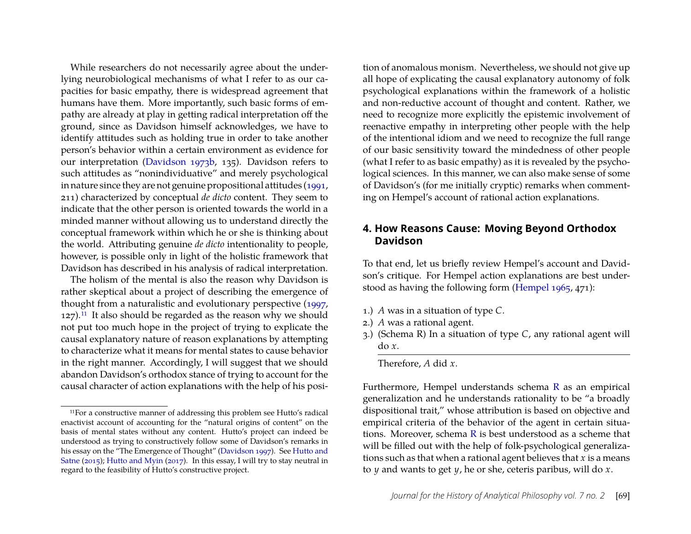While researchers do not necessarily agree about the underlying neurobiological mechanisms of what I refer to as our capacities for basic empathy, there is widespread agreement that humans have them. More importantly, such basic forms of empathy are already at play in getting radical interpretation off the ground, since as Davidson himself acknowledges, we have to identify attitudes such as holding true in order to take another person's behavior within a certain environment as evidence for our interpretation [\(Davidson 1973b,](#page-14-6) 135). Davidson refers to such attitudes as "nonindividuative" and merely psychological in nature since they are not genuine propositional attitudes [\(1991,](#page-15-2) 211) characterized by conceptual *de dicto* content. They seem to indicate that the other person is oriented towards the world in a minded manner without allowing us to understand directly the conceptual framework within which he or she is thinking about the world. Attributing genuine *de dicto* intentionality to people, however, is possible only in light of the holistic framework that Davidson has described in his analysis of radical interpretation.

The holism of the mental is also the reason why Davidson is rather skeptical about a project of describing the emergence of thought from a naturalistic and evolutionary perspective [\(1997,](#page-15-13)  $127$ ).<sup>[11](#page-10-0)</sup> It also should be regarded as the reason why we should not put too much hope in the project of trying to explicate the causal explanatory nature of reason explanations by attempting to characterize what it means for mental states to cause behavior in the right manner. Accordingly, I will suggest that we should abandon Davidson's orthodox stance of trying to account for the causal character of action explanations with the help of his posi-

tion of anomalous monism. Nevertheless, we should not give up all hope of explicating the causal explanatory autonomy of folk psychological explanations within the framework of a holistic and non-reductive account of thought and content. Rather, we need to recognize more explicitly the epistemic involvement of reenactive empathy in interpreting other people with the help of the intentional idiom and we need to recognize the full range of our basic sensitivity toward the mindedness of other people (what I refer to as basic empathy) as it is revealed by the psychological sciences. In this manner, we can also make sense of some of Davidson's (for me initially cryptic) remarks when commenting on Hempel's account of rational action explanations.

## **4. How Reasons Cause: Moving Beyond Orthodox Davidson**

To that end, let us briefly review Hempel's account and Davidson's critique. For Hempel action explanations are best understood as having the following form [\(Hempel 1965,](#page-15-21) 471):

- 1.) *A* was in a situation of type *C*.
- 2.) *A* was a rational agent.
- <span id="page-10-1"></span>3.) (Schema R) In a situation of type *C*, any rational agent will do *x*.

Therefore, *A* did *x*.

Furthermore, Hempel understands schema [R](#page-10-1) as an empirical generalization and he understands rationality to be "a broadly dispositional trait," whose attribution is based on objective and empirical criteria of the behavior of the agent in certain situations. Moreover, schema [R](#page-10-1) is best understood as a scheme that will be filled out with the help of folk-psychological generalizations such as that when a rational agent believes that *x* is a means to *y* and wants to get *y*, he or she, ceteris paribus, will do *x*.

<span id="page-10-0"></span><sup>11</sup>For a constructive manner of addressing this problem see Hutto's radical enactivist account of accounting for the "natural origins of content" on the basis of mental states without any content. Hutto's project can indeed be understood as trying to constructively follow some of Davidson's remarks in his essay on the "The Emergence of Thought" [\(Davidson 1997\)](#page-15-13). See [Hutto and](#page-16-14) [Satne](#page-16-14) [\(2015\)](#page-16-14); [Hutto and Myin](#page-16-15) [\(2017\)](#page-16-15). In this essay, I will try to stay neutral in regard to the feasibility of Hutto's constructive project.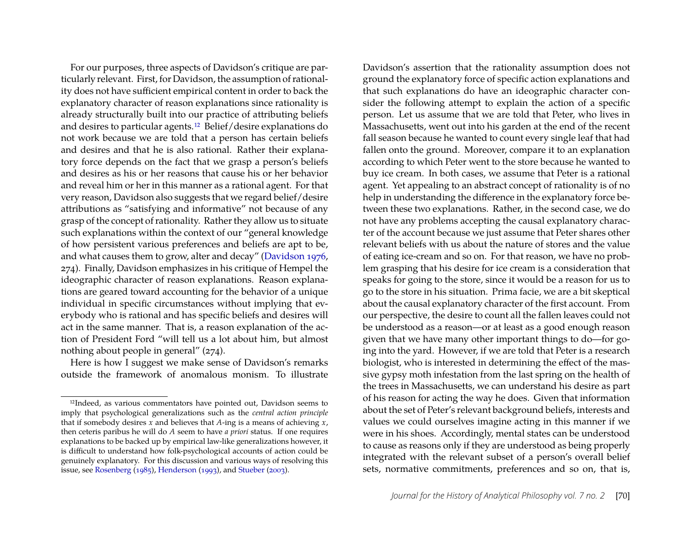For our purposes, three aspects of Davidson's critique are particularly relevant. First, for Davidson, the assumption of rationality does not have sufficient empirical content in order to back the explanatory character of reason explanations since rationality is already structurally built into our practice of attributing beliefs and desires to particular agents.[12](#page-11-0) Belief/desire explanations do not work because we are told that a person has certain beliefs and desires and that he is also rational. Rather their explanatory force depends on the fact that we grasp a person's beliefs and desires as his or her reasons that cause his or her behavior and reveal him or her in this manner as a rational agent. For that very reason, Davidson also suggests that we regard belief/desire attributions as "satisfying and informative" not because of any grasp of the concept of rationality. Rather they allow us to situate such explanations within the context of our "general knowledge of how persistent various preferences and beliefs are apt to be, and what causes them to grow, alter and decay" [\(Davidson 1976,](#page-15-0) 274). Finally, Davidson emphasizes in his critique of Hempel the ideographic character of reason explanations. Reason explanations are geared toward accounting for the behavior of a unique individual in specific circumstances without implying that everybody who is rational and has specific beliefs and desires will act in the same manner. That is, a reason explanation of the action of President Ford "will tell us a lot about him, but almost nothing about people in general" (274).

Here is how I suggest we make sense of Davidson's remarks outside the framework of anomalous monism. To illustrate

Davidson's assertion that the rationality assumption does not ground the explanatory force of specific action explanations and that such explanations do have an ideographic character consider the following attempt to explain the action of a specific person. Let us assume that we are told that Peter, who lives in Massachusetts, went out into his garden at the end of the recent fall season because he wanted to count every single leaf that had fallen onto the ground. Moreover, compare it to an explanation according to which Peter went to the store because he wanted to buy ice cream. In both cases, we assume that Peter is a rational agent. Yet appealing to an abstract concept of rationality is of no help in understanding the difference in the explanatory force between these two explanations. Rather, in the second case, we do not have any problems accepting the causal explanatory character of the account because we just assume that Peter shares other relevant beliefs with us about the nature of stores and the value of eating ice-cream and so on. For that reason, we have no problem grasping that his desire for ice cream is a consideration that speaks for going to the store, since it would be a reason for us to go to the store in his situation. Prima facie, we are a bit skeptical about the causal explanatory character of the first account. From our perspective, the desire to count all the fallen leaves could not be understood as a reason—or at least as a good enough reason given that we have many other important things to do—for going into the yard. However, if we are told that Peter is a research biologist, who is interested in determining the effect of the massive gypsy moth infestation from the last spring on the health of the trees in Massachusetts, we can understand his desire as part of his reason for acting the way he does. Given that information about the set of Peter's relevant background beliefs, interests and values we could ourselves imagine acting in this manner if we were in his shoes. Accordingly, mental states can be understood to cause as reasons only if they are understood as being properly integrated with the relevant subset of a person's overall belief sets, normative commitments, preferences and so on, that is,

<span id="page-11-0"></span><sup>12</sup>Indeed, as various commentators have pointed out, Davidson seems to imply that psychological generalizations such as the *central action principle* that if somebody desires *x* and believes that *A*-ing is a means of achieving *x*, then ceteris paribus he will do *A* seem to have *a priori* status. If one requires explanations to be backed up by empirical law-like generalizations however, it is difficult to understand how folk-psychological accounts of action could be genuinely explanatory. For this discussion and various ways of resolving this issue, see [Rosenberg](#page-16-16) [\(1985\)](#page-16-16), [Henderson](#page-15-22) [\(1993\)](#page-15-22), and [Stueber](#page-16-17) [\(2003\)](#page-16-17).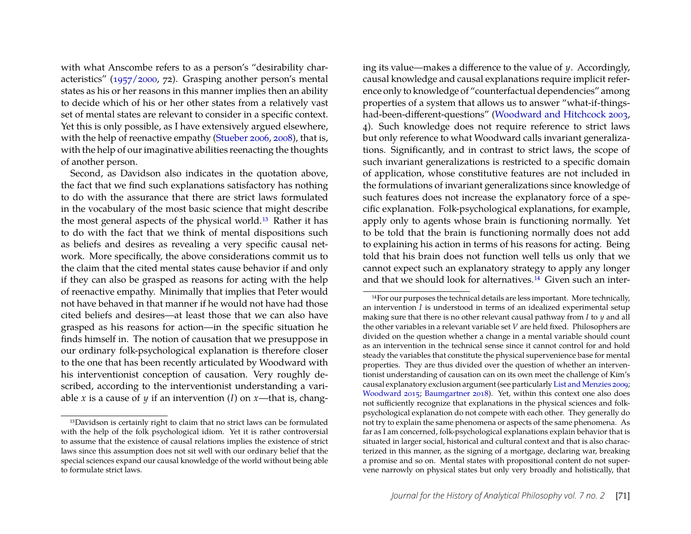with what Anscombe refers to as a person's "desirability characteristics" [\(1957/2000,](#page-14-7) 72). Grasping another person's mental states as his or her reasons in this manner implies then an ability to decide which of his or her other states from a relatively vast set of mental states are relevant to consider in a specific context. Yet this is only possible, as I have extensively argued elsewhere, with the help of reenactive empathy [\(Stueber 2006,](#page-16-0) [2008\)](#page-16-18), that is, with the help of our imaginative abilities reenacting the thoughts of another person.

Second, as Davidson also indicates in the quotation above, the fact that we find such explanations satisfactory has nothing to do with the assurance that there are strict laws formulated in the vocabulary of the most basic science that might describe the most general aspects of the physical world.[13](#page-12-0) Rather it has to do with the fact that we think of mental dispositions such as beliefs and desires as revealing a very specific causal network. More specifically, the above considerations commit us to the claim that the cited mental states cause behavior if and only if they can also be grasped as reasons for acting with the help of reenactive empathy. Minimally that implies that Peter would not have behaved in that manner if he would not have had those cited beliefs and desires—at least those that we can also have grasped as his reasons for action—in the specific situation he finds himself in. The notion of causation that we presuppose in our ordinary folk-psychological explanation is therefore closer to the one that has been recently articulated by Woodward with his interventionist conception of causation. Very roughly described, according to the interventionist understanding a variable *x* is a cause of *y* if an intervention (*I*) on *x*—that is, changing its value—makes a difference to the value of *y*. Accordingly, causal knowledge and causal explanations require implicit reference only to knowledge of "counterfactual dependencies" among properties of a system that allows us to answer "what-if-thingshad-been-different-questions" [\(Woodward and Hitchcock 2003,](#page-16-19) 4). Such knowledge does not require reference to strict laws but only reference to what Woodward calls invariant generalizations. Significantly, and in contrast to strict laws, the scope of such invariant generalizations is restricted to a specific domain of application, whose constitutive features are not included in the formulations of invariant generalizations since knowledge of such features does not increase the explanatory force of a specific explanation. Folk-psychological explanations, for example, apply only to agents whose brain is functioning normally. Yet to be told that the brain is functioning normally does not add to explaining his action in terms of his reasons for acting. Being told that his brain does not function well tells us only that we cannot expect such an explanatory strategy to apply any longer and that we should look for alternatives.[14](#page-12-1) Given such an inter-

<span id="page-12-0"></span><sup>13</sup>Davidson is certainly right to claim that no strict laws can be formulated with the help of the folk psychological idiom. Yet it is rather controversial to assume that the existence of causal relations implies the existence of strict laws since this assumption does not sit well with our ordinary belief that the special sciences expand our causal knowledge of the world without being able to formulate strict laws.

<span id="page-12-1"></span><sup>14</sup>For our purposes the technical details are less important. More technically, an intervention *I* is understood in terms of an idealized experimental setup making sure that there is no other relevant causal pathway from *I* to *y* and all the other variables in a relevant variable set *V* are held fixed. Philosophers are divided on the question whether a change in a mental variable should count as an intervention in the technical sense since it cannot control for and hold steady the variables that constitute the physical supervenience base for mental properties. They are thus divided over the question of whether an interventionist understanding of causation can on its own meet the challenge of Kim's causal explanatory exclusion argument (see particularly [List and Menzies 2009;](#page-16-20) [Woodward 2015;](#page-16-21) [Baumgartner 2018\)](#page-14-8). Yet, within this context one also does not sufficiently recognize that explanations in the physical sciences and folkpsychological explanation do not compete with each other. They generally do not try to explain the same phenomena or aspects of the same phenomena. As far as I am concerned, folk-psychological explanations explain behavior that is situated in larger social, historical and cultural context and that is also characterized in this manner, as the signing of a mortgage, declaring war, breaking a promise and so on. Mental states with propositional content do not supervene narrowly on physical states but only very broadly and holistically, that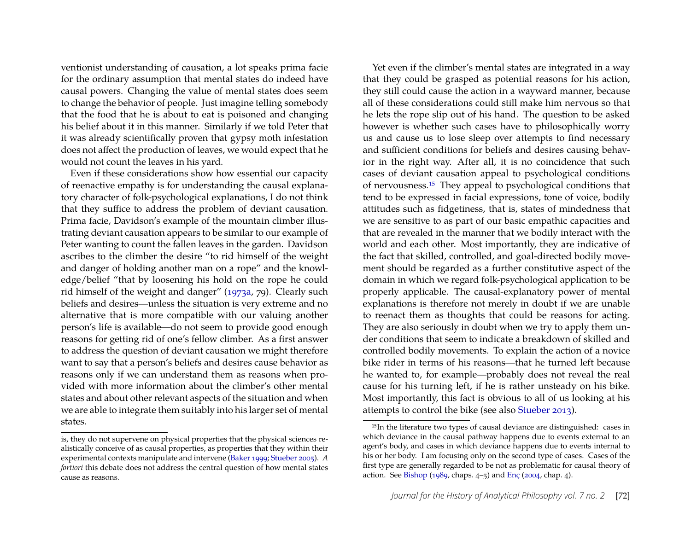ventionist understanding of causation, a lot speaks prima facie for the ordinary assumption that mental states do indeed have causal powers. Changing the value of mental states does seem to change the behavior of people. Just imagine telling somebody that the food that he is about to eat is poisoned and changing his belief about it in this manner. Similarly if we told Peter that it was already scientifically proven that gypsy moth infestation does not affect the production of leaves, we would expect that he would not count the leaves in his yard.

Even if these considerations show how essential our capacity of reenactive empathy is for understanding the causal explanatory character of folk-psychological explanations, I do not think that they suffice to address the problem of deviant causation. Prima facie, Davidson's example of the mountain climber illustrating deviant causation appears to be similar to our example of Peter wanting to count the fallen leaves in the garden. Davidson ascribes to the climber the desire "to rid himself of the weight and danger of holding another man on a rope" and the knowledge/belief "that by loosening his hold on the rope he could rid himself of the weight and danger" [\(1973a,](#page-14-4) 79). Clearly such beliefs and desires—unless the situation is very extreme and no alternative that is more compatible with our valuing another person's life is available—do not seem to provide good enough reasons for getting rid of one's fellow climber. As a first answer to address the question of deviant causation we might therefore want to say that a person's beliefs and desires cause behavior as reasons only if we can understand them as reasons when provided with more information about the climber's other mental states and about other relevant aspects of the situation and when we are able to integrate them suitably into his larger set of mental states.

Yet even if the climber's mental states are integrated in a way that they could be grasped as potential reasons for his action, they still could cause the action in a wayward manner, because all of these considerations could still make him nervous so that he lets the rope slip out of his hand. The question to be asked however is whether such cases have to philosophically worry us and cause us to lose sleep over attempts to find necessary and sufficient conditions for beliefs and desires causing behavior in the right way. After all, it is no coincidence that such cases of deviant causation appeal to psychological conditions of nervousness.[15](#page-13-0) They appeal to psychological conditions that tend to be expressed in facial expressions, tone of voice, bodily attitudes such as fidgetiness, that is, states of mindedness that we are sensitive to as part of our basic empathic capacities and that are revealed in the manner that we bodily interact with the world and each other. Most importantly, they are indicative of the fact that skilled, controlled, and goal-directed bodily movement should be regarded as a further constitutive aspect of the domain in which we regard folk-psychological application to be properly applicable. The causal-explanatory power of mental explanations is therefore not merely in doubt if we are unable to reenact them as thoughts that could be reasons for acting. They are also seriously in doubt when we try to apply them under conditions that seem to indicate a breakdown of skilled and controlled bodily movements. To explain the action of a novice bike rider in terms of his reasons—that he turned left because he wanted to, for example—probably does not reveal the real cause for his turning left, if he is rather unsteady on his bike. Most importantly, this fact is obvious to all of us looking at his attempts to control the bike (see also [Stueber 2013\)](#page-16-22).

is, they do not supervene on physical properties that the physical sciences realistically conceive of as causal properties, as properties that they within their experimental contexts manipulate and intervene [\(Baker 1999;](#page-14-2) [Stueber 2005\)](#page-16-3). *A fortiori* this debate does not address the central question of how mental states cause as reasons.

<span id="page-13-0"></span><sup>15</sup>In the literature two types of causal deviance are distinguished: cases in which deviance in the causal pathway happens due to events external to an agent's body, and cases in which deviance happens due to events internal to his or her body. I am focusing only on the second type of cases. Cases of the first type are generally regarded to be not as problematic for causal theory of action. See [Bishop](#page-14-9) [\(1989,](#page-14-9) chaps. 4–5) and [Enç](#page-15-23) [\(2004,](#page-15-23) chap. 4).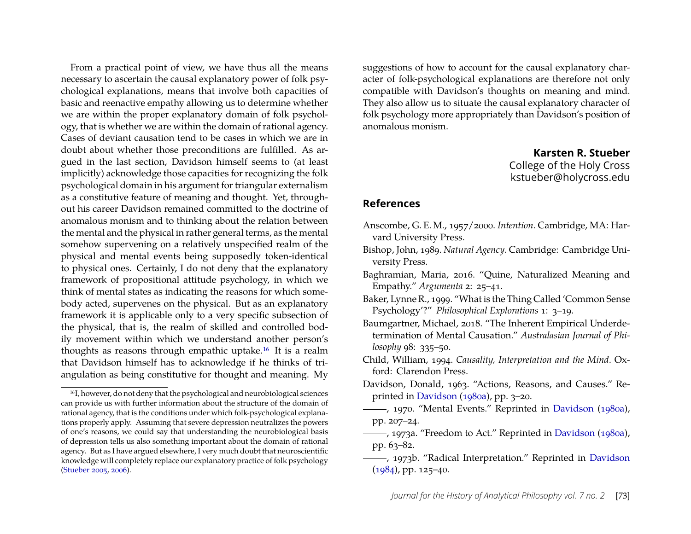From a practical point of view, we have thus all the means necessary to ascertain the causal explanatory power of folk psychological explanations, means that involve both capacities of basic and reenactive empathy allowing us to determine whether we are within the proper explanatory domain of folk psychology, that is whether we are within the domain of rational agency. Cases of deviant causation tend to be cases in which we are in doubt about whether those preconditions are fulfilled. As argued in the last section, Davidson himself seems to (at least implicitly) acknowledge those capacities for recognizing the folk psychological domain in his argument for triangular externalism as a constitutive feature of meaning and thought. Yet, throughout his career Davidson remained committed to the doctrine of anomalous monism and to thinking about the relation between the mental and the physical in rather general terms, as the mental somehow supervening on a relatively unspecified realm of the physical and mental events being supposedly token-identical to physical ones. Certainly, I do not deny that the explanatory framework of propositional attitude psychology, in which we think of mental states as indicating the reasons for which somebody acted, supervenes on the physical. But as an explanatory framework it is applicable only to a very specific subsection of the physical, that is, the realm of skilled and controlled bodily movement within which we understand another person's thoughts as reasons through empathic uptake.[16](#page-14-10) It is a realm that Davidson himself has to acknowledge if he thinks of triangulation as being constitutive for thought and meaning. My

suggestions of how to account for the causal explanatory character of folk-psychological explanations are therefore not only compatible with Davidson's thoughts on meaning and mind. They also allow us to situate the causal explanatory character of folk psychology more appropriately than Davidson's position of anomalous monism.

> **Karsten R. Stueber** College of the Holy Cross kstueber@holycross.edu

## **References**

- <span id="page-14-7"></span>Anscombe, G. E. M., 1957/2000. *Intention*. Cambridge, MA: Harvard University Press.
- <span id="page-14-9"></span>Bishop, John, 1989. *Natural Agency*. Cambridge: Cambridge University Press.

<span id="page-14-5"></span>Baghramian, Maria, 2016. "Quine, Naturalized Meaning and Empathy." *Argumenta* 2: 25–41.

- <span id="page-14-2"></span>Baker, Lynne R., 1999. "What is the Thing Called 'Common Sense Psychology'?" *Philosophical Explorations* 1: 3–19.
- <span id="page-14-8"></span>Baumgartner, Michael, 2018. "The Inherent Empirical Underdetermination of Mental Causation." *Australasian Journal of Philosophy* 98: 335–50.
- <span id="page-14-1"></span>Child, William, 1994. *Causality, Interpretation and the Mind*. Oxford: Clarendon Press.
- <span id="page-14-3"></span>Davidson, Donald, 1963. "Actions, Reasons, and Causes." Reprinted in [Davidson](#page-15-3) [\(1980a\)](#page-15-3), pp. 3–20.
- <span id="page-14-0"></span>, 1970. "Mental Events." Reprinted in [Davidson](#page-15-3) [\(1980a\)](#page-15-3), pp. 207–24.
- <span id="page-14-4"></span>, 1973a. "Freedom to Act." Reprinted in [Davidson](#page-15-3) [\(1980a\)](#page-15-3), pp. 63–82.
- <span id="page-14-6"></span>, 1973b. "Radical Interpretation." Reprinted in [Davidson](#page-15-24)  $(1984)$ , pp. 125-40.

<span id="page-14-10"></span><sup>16</sup>I, however, do not deny that the psychological and neurobiological sciences can provide us with further information about the structure of the domain of rational agency, that is the conditions under which folk-psychological explanations properly apply. Assuming that severe depression neutralizes the powers of one's reasons, we could say that understanding the neurobiological basis of depression tells us also something important about the domain of rational agency. But as I have argued elsewhere, I very much doubt that neuroscientific knowledge will completely replace our explanatory practice of folk psychology [\(Stueber 2005,](#page-16-3) [2006\)](#page-16-0).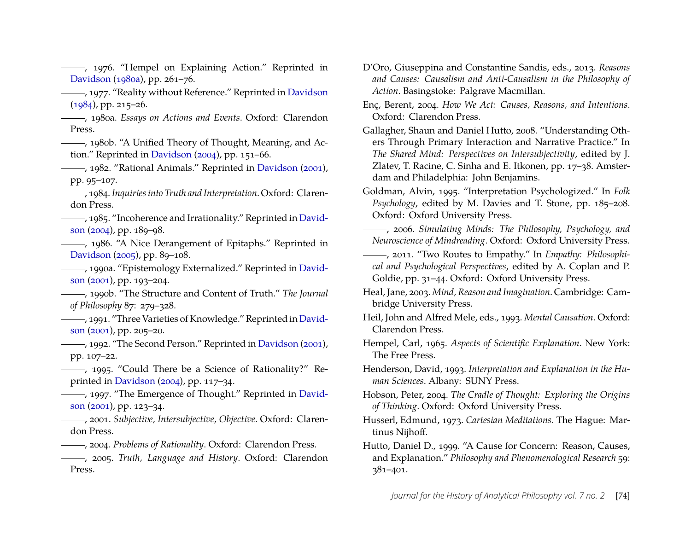<span id="page-15-0"></span>-, 1976. "Hempel on Explaining Action." Reprinted in [Davidson](#page-15-3) [\(1980a\)](#page-15-3), pp. 261–76.

<span id="page-15-15"></span>, 1977. "Reality without Reference." Reprinted in [Davidson](#page-15-24)  $(1984)$ , pp. 215–26.

<span id="page-15-3"></span>, 1980a. *Essays on Actions and Events*. Oxford: Clarendon Press.

<span id="page-15-11"></span>-, 1980b. "A Unified Theory of Thought, Meaning, and Action." Reprinted in [Davidson](#page-15-25) [\(2004\)](#page-15-25), pp. 151–66.

<span id="page-15-14"></span>, 1982. "Rational Animals." Reprinted in [Davidson](#page-15-26) [\(2001\)](#page-15-26), pp. 95–107.

<span id="page-15-24"></span>, 1984. *Inquiries into Truth and Interpretation*. Oxford: Clarendon Press.

, 1985. "Incoherence and Irrationality." Reprinted in [David](#page-15-25)[son](#page-15-25) [\(2004\)](#page-15-25), pp. 189–98.

<span id="page-15-17"></span>(1986. "A Nice Derangement of Epitaphs." Reprinted in [Davidson](#page-15-27) [\(2005\)](#page-15-27), pp. 89–108.

<span id="page-15-16"></span>, 1990a. "Epistemology Externalized." Reprinted in [David](#page-15-26)[son](#page-15-26) [\(2001\)](#page-15-26), pp. 193–204.

<span id="page-15-12"></span>, 1990b. "The Structure and Content of Truth." *The Journal of Philosophy* 87: 279–328.

<span id="page-15-2"></span>, 1991. "Three Varieties of Knowledge." Reprinted in [David](#page-15-26)[son](#page-15-26) [\(2001\)](#page-15-26), pp. 205–20.

, 1992. "The Second Person." Reprinted in [Davidson](#page-15-26) [\(2001\)](#page-15-26), pp. 107–22.

<span id="page-15-1"></span>, 1995. "Could There be a Science of Rationality?" Reprinted in [Davidson](#page-15-25) [\(2004\)](#page-15-25), pp. 117–34.

<span id="page-15-13"></span>-, 1997. "The Emergence of Thought." Reprinted in [David](#page-15-26)[son](#page-15-26) [\(2001\)](#page-15-26), pp. 123–34.

<span id="page-15-26"></span>, 2001. *Subjective, Intersubjective, Objective*. Oxford: Clarendon Press.

<span id="page-15-25"></span>, 2004. *Problems of Rationality*. Oxford: Clarendon Press.

<span id="page-15-27"></span>, 2005. *Truth, Language and History*. Oxford: Clarendon Press.

<span id="page-15-6"></span>D'Oro, Giuseppina and Constantine Sandis, eds., 2013. *Reasons and Causes: Causalism and Anti-Causalism in the Philosophy of Action*. Basingstoke: Palgrave Macmillan.

<span id="page-15-23"></span>Enç, Berent, 2004. *How We Act: Causes, Reasons, and Intentions*. Oxford: Clarendon Press.

<span id="page-15-7"></span>Gallagher, Shaun and Daniel Hutto, 2008. "Understanding Others Through Primary Interaction and Narrative Practice." In *The Shared Mind: Perspectives on Intersubjectivity*, edited by J. Zlatev, T. Racine, C. Sinha and E. Itkonen, pp. 17–38. Amsterdam and Philadelphia: John Benjamins.

<span id="page-15-9"></span>Goldman, Alvin, 1995. "Interpretation Psychologized." In *Folk Psychology*, edited by M. Davies and T. Stone, pp. 185–208. Oxford: Oxford University Press.

<span id="page-15-10"></span>, 2006. *Simulating Minds: The Philosophy, Psychology, and Neuroscience of Mindreading*. Oxford: Oxford University Press.

- <span id="page-15-8"></span>, 2011. "Two Routes to Empathy." In *Empathy: Philosophical and Psychological Perspectives*, edited by A. Coplan and P. Goldie, pp. 31–44. Oxford: Oxford University Press.
- <span id="page-15-18"></span>Heal, Jane, 2003. *Mind, Reason and Imagination*. Cambridge: Cambridge University Press.

<span id="page-15-4"></span>Heil, John and Alfred Mele, eds., 1993. *Mental Causation*. Oxford: Clarendon Press.

<span id="page-15-21"></span>Hempel, Carl, 1965. *Aspects of Scientific Explanation*. New York: The Free Press.

<span id="page-15-22"></span>Henderson, David, 1993. *Interpretation and Explanation in the Human Sciences*. Albany: SUNY Press.

<span id="page-15-20"></span>Hobson, Peter, 2004. *The Cradle of Thought: Exploring the Origins of Thinking*. Oxford: Oxford University Press.

<span id="page-15-19"></span>Husserl, Edmund, 1973. *Cartesian Meditations*. The Hague: Martinus Nijhoff.

<span id="page-15-5"></span>Hutto, Daniel D., 1999. "A Cause for Concern: Reason, Causes, and Explanation." *Philosophy and Phenomenological Research* 59: 381–401.